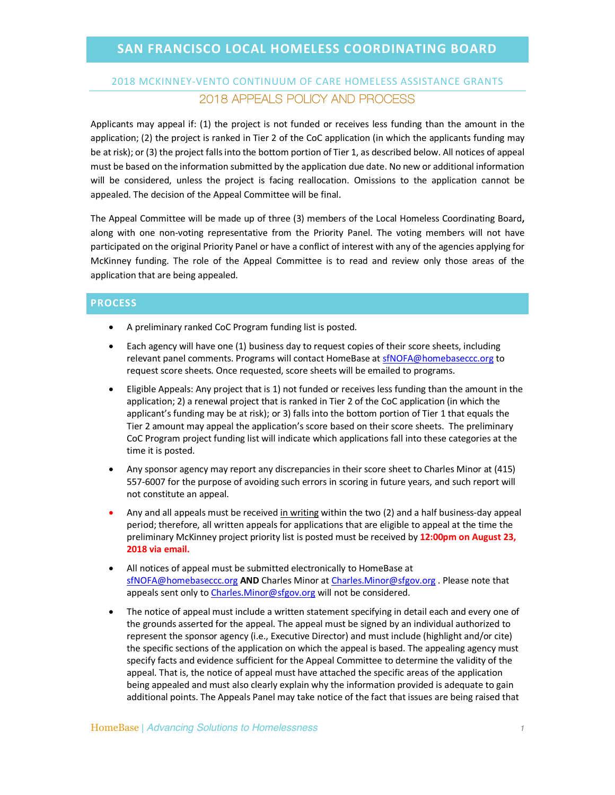## 2018 MCKINNEY-VENTO CONTINUUM OF CARE HOMELESS ASSISTANCE GRANTS 2018 APPEALS POLICY AND PROCESS

Applicants may appeal if: (1) the project is not funded or receives less funding than the amount in the application; (2) the project is ranked in Tier 2 of the CoC application (in which the applicants funding may be at risk); or (3) the project falls into the bottom portion of Tier 1, as described below. All notices of appeal must be based on the information submitted by the application due date. No new or additional information will be considered, unless the project is facing reallocation. Omissions to the application cannot be appealed. The decision of the Appeal Committee will be final.

The Appeal Committee will be made up of three (3) members of the Local Homeless Coordinating Board**,**  along with one non-voting representative from the Priority Panel. The voting members will not have participated on the original Priority Panel or have a conflict of interest with any of the agencies applying for McKinney funding. The role of the Appeal Committee is to read and review only those areas of the application that are being appealed.

## **PROCESS**

- A preliminary ranked CoC Program funding list is posted.
- Each agency will have one (1) business day to request copies of their score sheets, including relevant panel comments. Programs will contact HomeBase at sfNOFA@homebaseccc.org to request score sheets. Once requested, score sheets will be emailed to programs.
- Eligible Appeals: Any project that is 1) not funded or receives less funding than the amount in the application; 2) a renewal project that is ranked in Tier 2 of the CoC application (in which the applicant's funding may be at risk); or 3) falls into the bottom portion of Tier 1 that equals the Tier 2 amount may appeal the application's score based on their score sheets. The preliminary CoC Program project funding list will indicate which applications fall into these categories at the time it is posted.
- Any sponsor agency may report any discrepancies in their score sheet to Charles Minor at (415) 557-6007 for the purpose of avoiding such errors in scoring in future years, and such report will not constitute an appeal.
- Any and all appeals must be received in writing within the two (2) and a half business-day appeal period; therefore, all written appeals for applications that are eligible to appeal at the time the preliminary McKinney project priority list is posted must be received by **12:00pm on August 23, 2018 via email.**
- All notices of appeal must be submitted electronically to HomeBase at sfNOFA@homebaseccc.org **AND** Charles Minor at Charles.Minor@sfgov.org . Please note that appeals sent only to Charles. Minor@sfgov.org will not be considered.
- The notice of appeal must include a written statement specifying in detail each and every one of the grounds asserted for the appeal. The appeal must be signed by an individual authorized to represent the sponsor agency (i.e., Executive Director) and must include (highlight and/or cite) the specific sections of the application on which the appeal is based. The appealing agency must specify facts and evidence sufficient for the Appeal Committee to determine the validity of the appeal. That is, the notice of appeal must have attached the specific areas of the application being appealed and must also clearly explain why the information provided is adequate to gain additional points. The Appeals Panel may take notice of the fact that issues are being raised that